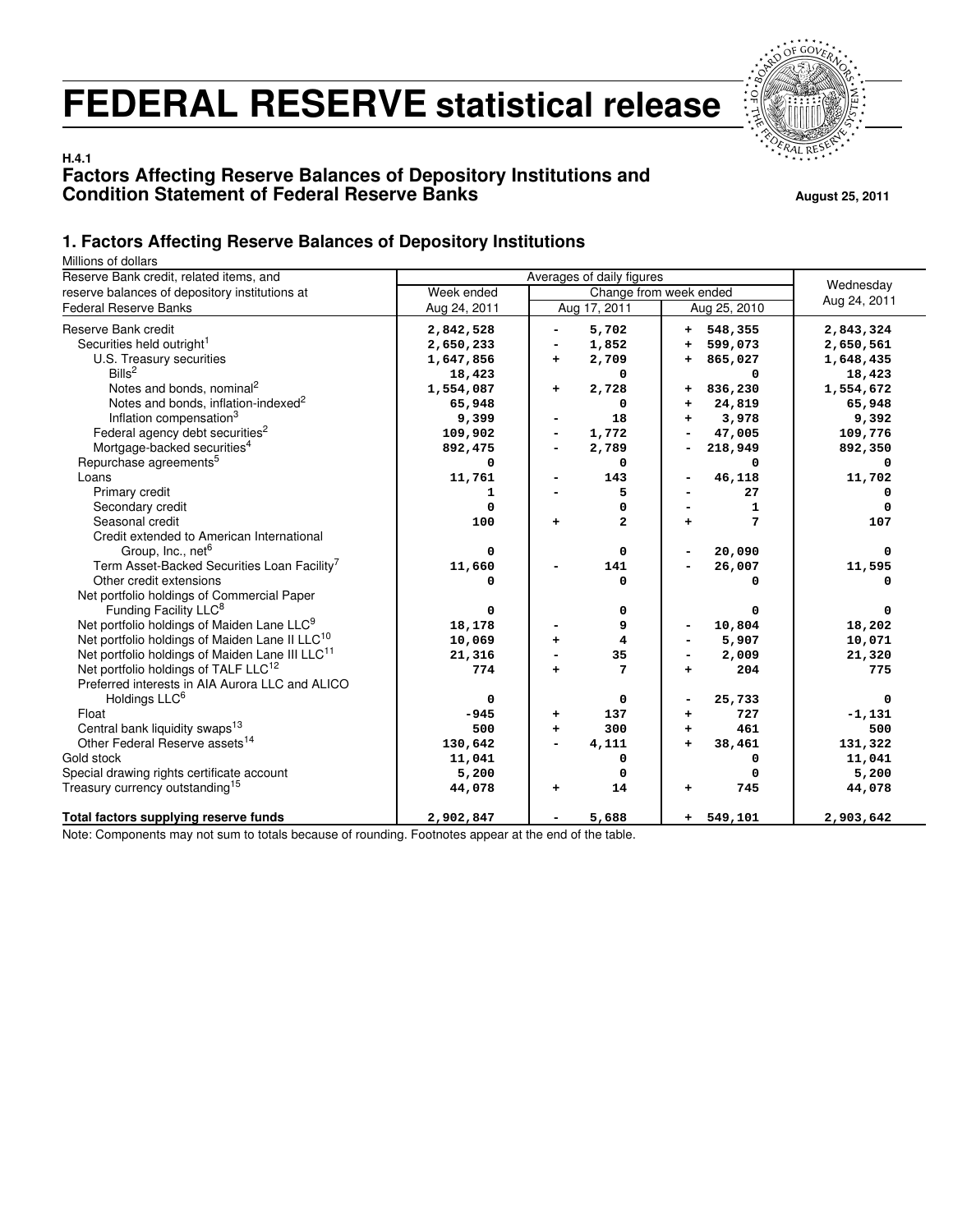# **FEDERAL RESERVE statistical release**



#### **H.4.1 Factors Affecting Reserve Balances of Depository Institutions and Condition Statement of Federal Reserve Banks August 25, 2011** August 25, 2011

#### **1. Factors Affecting Reserve Balances of Depository Institutions**

Millions of dollars

| villions of uollers<br>Reserve Bank credit, related items, and |              | Wednesday         |                        |              |
|----------------------------------------------------------------|--------------|-------------------|------------------------|--------------|
| reserve balances of depository institutions at                 | Week ended   |                   | Change from week ended |              |
| <b>Federal Reserve Banks</b>                                   | Aug 24, 2011 | Aug 17, 2011      | Aug 25, 2010           | Aug 24, 2011 |
| Reserve Bank credit                                            | 2,842,528    | 5,702             | 548,355<br>٠.          | 2,843,324    |
| Securities held outright <sup>1</sup>                          | 2,650,233    | 1,852             | 599,073<br>÷           | 2,650,561    |
| U.S. Treasury securities                                       | 1,647,856    | 2,709<br>+        | 865,027<br>+           | 1,648,435    |
| Bills <sup>2</sup>                                             | 18,423       | 0                 | 0                      | 18,423       |
| Notes and bonds, nominal <sup>2</sup>                          | 1,554,087    | 2,728<br>+        | 836,230<br>+           | 1,554,672    |
| Notes and bonds, inflation-indexed <sup>2</sup>                | 65,948       | 0                 | 24,819<br>$\ddot{}$    | 65,948       |
| Inflation compensation <sup>3</sup>                            | 9,399        | 18                | 3,978<br>$\ddot{}$     | 9,392        |
| Federal agency debt securities <sup>2</sup>                    | 109,902      | 1,772             | 47,005                 | 109,776      |
| Mortgage-backed securities <sup>4</sup>                        | 892,475      | 2,789             | 218,949                | 892,350      |
| Repurchase agreements <sup>5</sup>                             | 0            | 0                 | 0                      | 0            |
| Loans                                                          | 11,761       | 143               | 46,118                 | 11,702       |
| Primary credit                                                 | 1            | 5                 | 27                     |              |
| Secondary credit                                               | $\mathbf 0$  | 0                 | 1                      |              |
| Seasonal credit                                                | 100          | $\mathbf{2}$<br>÷ | 7                      | 107          |
| Credit extended to American International                      |              |                   |                        |              |
| Group, Inc., net <sup>6</sup>                                  | 0            | 0                 | 20,090                 | 0            |
| Term Asset-Backed Securities Loan Facility <sup>7</sup>        | 11,660       | 141               | 26,007                 | 11,595       |
| Other credit extensions                                        | 0            | 0                 | 0                      | $\Omega$     |
| Net portfolio holdings of Commercial Paper                     |              |                   |                        |              |
| Funding Facility LLC <sup>8</sup>                              | 0            | 0                 | 0                      |              |
| Net portfolio holdings of Maiden Lane LLC <sup>9</sup>         | 18,178       | 9                 | 10,804                 | 18,202       |
| Net portfolio holdings of Maiden Lane II LLC <sup>10</sup>     | 10,069       | 4                 | 5,907                  | 10,071       |
| Net portfolio holdings of Maiden Lane III LLC <sup>11</sup>    | 21,316       | 35                | 2,009                  | 21,320       |
| Net portfolio holdings of TALF LLC <sup>12</sup>               | 774          | 7<br>$\ddot{}$    | 204<br>÷               | 775          |
| Preferred interests in AIA Aurora LLC and ALICO                |              |                   |                        |              |
| Holdings LLC <sup>6</sup>                                      | 0            | 0                 | 25,733                 | $\Omega$     |
| Float                                                          | $-945$       | 137<br>+          | 727<br>+               | $-1, 131$    |
| Central bank liquidity swaps <sup>13</sup>                     | 500          | 300<br>$\ddot{}$  | 461<br>$\ddot{}$       | 500          |
| Other Federal Reserve assets <sup>14</sup>                     | 130,642      | 4,111             | 38,461<br>$\ddot{}$    | 131,322      |
| Gold stock                                                     | 11,041       | 0                 | 0                      | 11,041       |
| Special drawing rights certificate account                     | 5,200        | 0                 | 0                      | 5,200        |
| Treasury currency outstanding <sup>15</sup>                    | 44,078       | 14<br>÷.          | 745<br>+               | 44,078       |
| Total factors supplying reserve funds                          | 2,902,847    | 5,688             | $+ 549,101$            | 2,903,642    |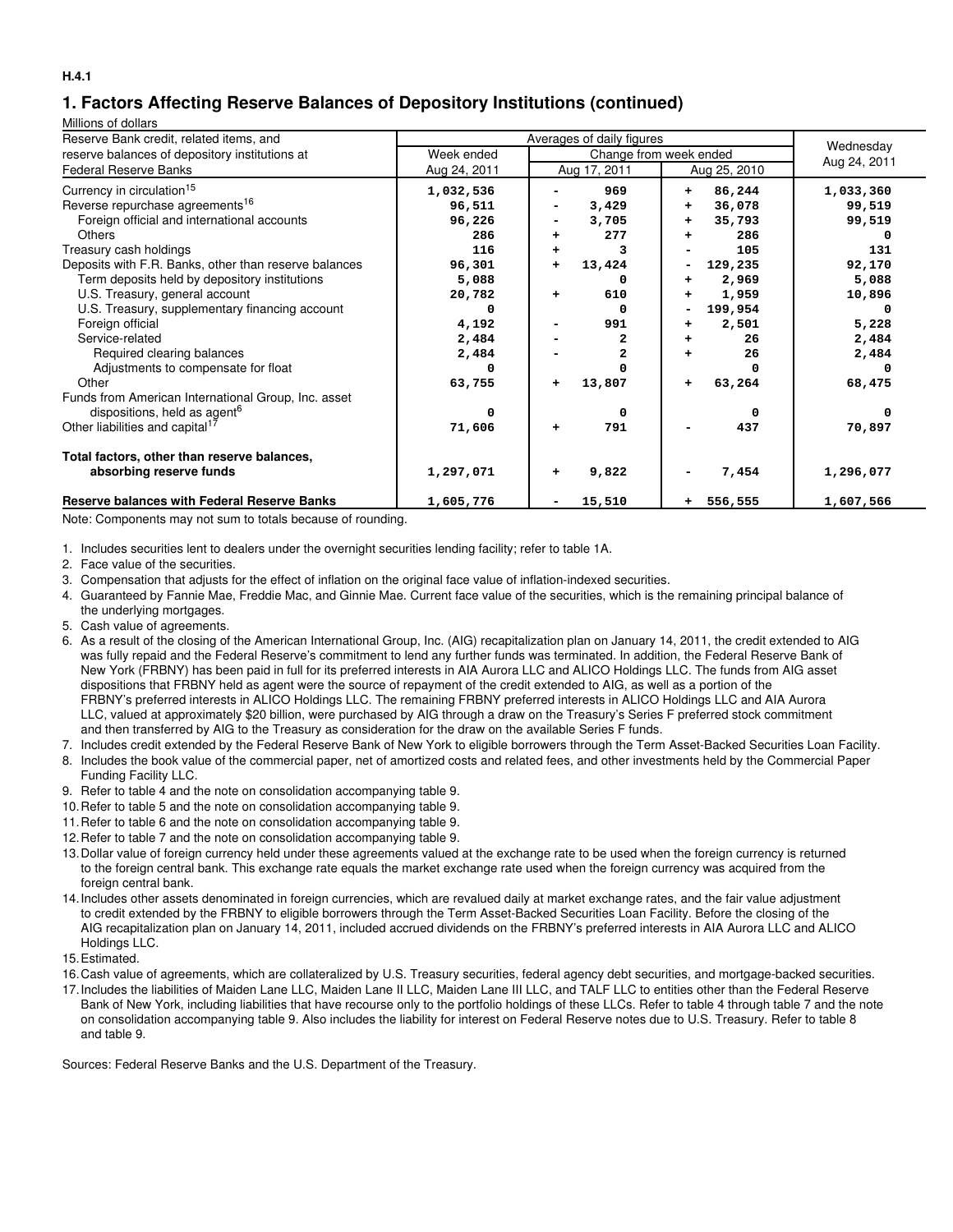## **1. Factors Affecting Reserve Balances of Depository Institutions (continued)**

Millions of dollars

| Reserve Bank credit, related items, and               |              |                              |                     |
|-------------------------------------------------------|--------------|------------------------------|---------------------|
| reserve balances of depository institutions at        | Week ended   | Wednesday                    |                     |
| <b>Federal Reserve Banks</b>                          | Aug 24, 2011 | Aug 17, 2011<br>Aug 25, 2010 | Aug 24, 2011        |
| Currency in circulation <sup>15</sup>                 | 1,032,536    | 969<br>÷                     | 86,244<br>1,033,360 |
| Reverse repurchase agreements <sup>16</sup>           | 96,511       | 3,429<br>÷                   | 36,078<br>99,519    |
| Foreign official and international accounts           | 96,226       | 3,705<br>$\ddot{}$           | 35,793<br>99,519    |
| <b>Others</b>                                         | 286          | 277<br>$\ddot{}$<br>٠        | 286                 |
| Treasury cash holdings                                | 116          | 3<br>÷                       | 131<br>105          |
| Deposits with F.R. Banks, other than reserve balances | 96,301       | 13,424<br>129,235<br>÷.<br>- | 92,170              |
| Term deposits held by depository institutions         | 5,088        | 0                            | 2,969<br>5,088      |
| U.S. Treasury, general account                        | 20,782       | 610<br>$\ddot{}$<br>٠        | 1,959<br>10,896     |
| U.S. Treasury, supplementary financing account        |              | 199,954<br>O                 |                     |
| Foreign official                                      | 4,192        | 991<br>٠                     | 5,228<br>2,501      |
| Service-related                                       | 2,484        | 2                            | 2,484<br>26         |
| Required clearing balances                            | 2,484        | 2                            | 26<br>2,484         |
| Adjustments to compensate for float                   |              |                              |                     |
| Other                                                 | 63,755       | 13,807<br>÷<br>÷             | 63,264<br>68,475    |
| Funds from American International Group, Inc. asset   |              |                              |                     |
| dispositions, held as agent <sup>6</sup>              | o            | 0                            | <sup>0</sup>        |
| Other liabilities and capital <sup>17</sup>           | 71,606       | 791<br>$\ddot{}$             | 437<br>70,897       |
| Total factors, other than reserve balances,           |              |                              |                     |
| absorbing reserve funds                               | 1,297,071    | 9,822<br>٠                   | 7,454<br>1,296,077  |
| <b>Reserve balances with Federal Reserve Banks</b>    | 1,605,776    | 15,510<br>$+ 556, 555$       | 1,607,566           |

Note: Components may not sum to totals because of rounding.

1. Includes securities lent to dealers under the overnight securities lending facility; refer to table 1A.

- 2. Face value of the securities.
- 3. Compensation that adjusts for the effect of inflation on the original face value of inflation-indexed securities.
- 4. Guaranteed by Fannie Mae, Freddie Mac, and Ginnie Mae. Current face value of the securities, which is the remaining principal balance of the underlying mortgages.
- 5. Cash value of agreements.
- 6. As a result of the closing of the American International Group, Inc. (AIG) recapitalization plan on January 14, 2011, the credit extended to AIG was fully repaid and the Federal Reserve's commitment to lend any further funds was terminated. In addition, the Federal Reserve Bank of New York (FRBNY) has been paid in full for its preferred interests in AIA Aurora LLC and ALICO Holdings LLC. The funds from AIG asset dispositions that FRBNY held as agent were the source of repayment of the credit extended to AIG, as well as a portion of the FRBNY's preferred interests in ALICO Holdings LLC. The remaining FRBNY preferred interests in ALICO Holdings LLC and AIA Aurora LLC, valued at approximately \$20 billion, were purchased by AIG through a draw on the Treasury's Series F preferred stock commitment and then transferred by AIG to the Treasury as consideration for the draw on the available Series F funds.
- 7. Includes credit extended by the Federal Reserve Bank of New York to eligible borrowers through the Term Asset-Backed Securities Loan Facility.
- 8. Includes the book value of the commercial paper, net of amortized costs and related fees, and other investments held by the Commercial Paper Funding Facility LLC.
- 9. Refer to table 4 and the note on consolidation accompanying table 9.
- 10.Refer to table 5 and the note on consolidation accompanying table 9.
- 11.Refer to table 6 and the note on consolidation accompanying table 9.
- 12.Refer to table 7 and the note on consolidation accompanying table 9.
- 13.Dollar value of foreign currency held under these agreements valued at the exchange rate to be used when the foreign currency is returned to the foreign central bank. This exchange rate equals the market exchange rate used when the foreign currency was acquired from the foreign central bank.
- 14.Includes other assets denominated in foreign currencies, which are revalued daily at market exchange rates, and the fair value adjustment to credit extended by the FRBNY to eligible borrowers through the Term Asset-Backed Securities Loan Facility. Before the closing of the AIG recapitalization plan on January 14, 2011, included accrued dividends on the FRBNY's preferred interests in AIA Aurora LLC and ALICO Holdings LLC.
- 15.Estimated.
- 16.Cash value of agreements, which are collateralized by U.S. Treasury securities, federal agency debt securities, and mortgage-backed securities.
- 17.Includes the liabilities of Maiden Lane LLC, Maiden Lane II LLC, Maiden Lane III LLC, and TALF LLC to entities other than the Federal Reserve Bank of New York, including liabilities that have recourse only to the portfolio holdings of these LLCs. Refer to table 4 through table 7 and the note on consolidation accompanying table 9. Also includes the liability for interest on Federal Reserve notes due to U.S. Treasury. Refer to table 8 and table 9.

Sources: Federal Reserve Banks and the U.S. Department of the Treasury.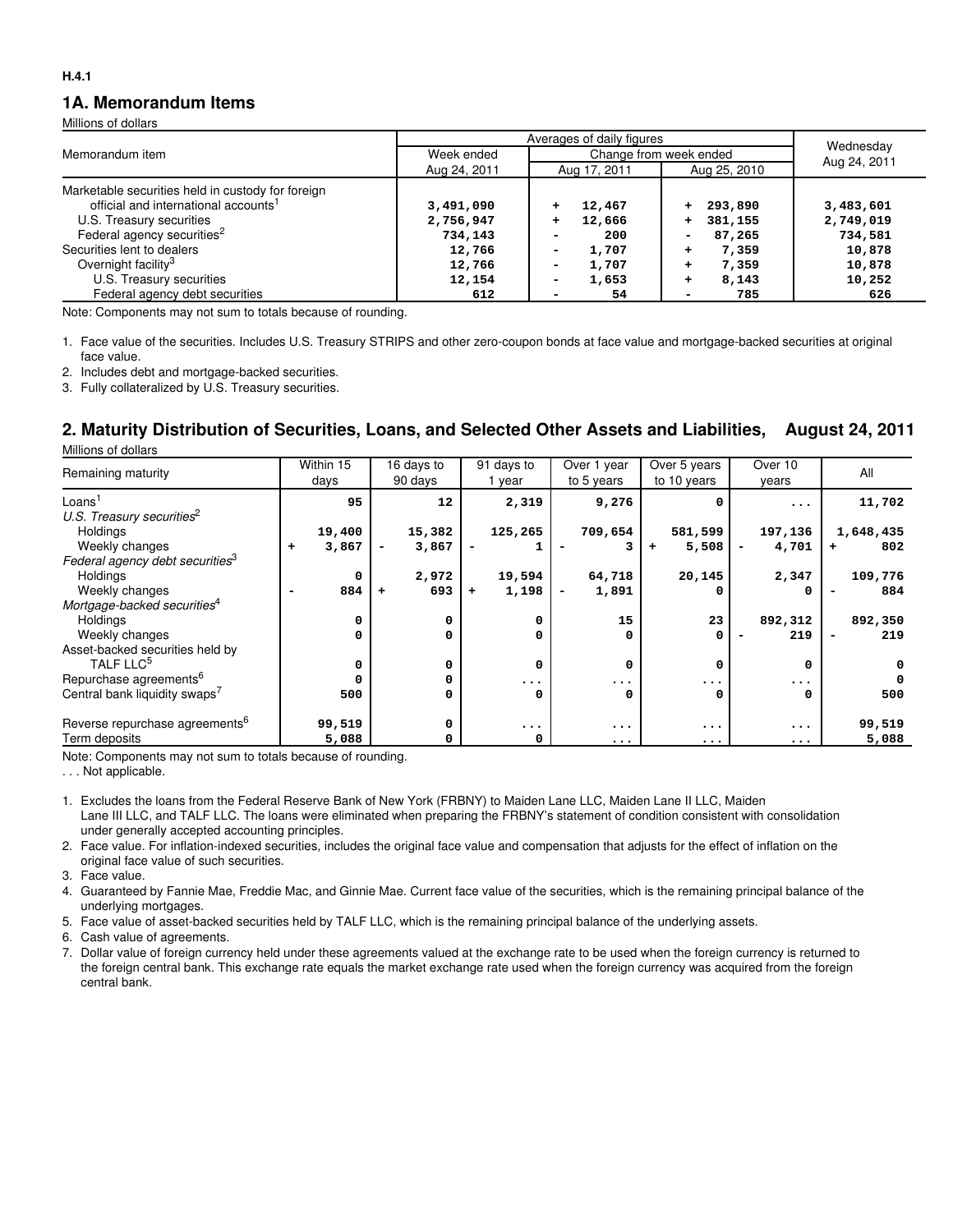#### **1A. Memorandum Items**

Millions of dollars

| Memorandum item                                   | Week ended   | Change from week ended | Wednesday          |              |
|---------------------------------------------------|--------------|------------------------|--------------------|--------------|
|                                                   | Aug 24, 2011 | Aug 17, 2011           | Aug 25, 2010       | Aug 24, 2011 |
| Marketable securities held in custody for foreign |              |                        |                    |              |
| official and international accounts <sup>1</sup>  | 3,491,090    | 12,467                 | 293,890            | 3,483,601    |
| U.S. Treasury securities                          | 2,756,947    | 12,666                 | 381,155            | 2,749,019    |
| Federal agency securities <sup>2</sup>            | 734,143      | 200                    | 87,265             | 734,581      |
| Securities lent to dealers                        | 12,766       | 1,707                  | 7,359<br>÷         | 10,878       |
| Overnight facility <sup>3</sup>                   | 12,766       | 1,707<br>-             | 7,359<br>$\ddot{}$ | 10,878       |
| U.S. Treasury securities                          | 12,154       | 1,653<br>-             | 8,143<br>÷         | 10,252       |
| Federal agency debt securities                    | 612          | 54                     | 785<br>۰           | 626          |

Note: Components may not sum to totals because of rounding.

1. Face value of the securities. Includes U.S. Treasury STRIPS and other zero-coupon bonds at face value and mortgage-backed securities at original face value.

2. Includes debt and mortgage-backed securities.

3. Fully collateralized by U.S. Treasury securities.

## **2. Maturity Distribution of Securities, Loans, and Selected Other Assets and Liabilities, August 24, 2011**

Millions of dollars

|                                             | Within 15  | 16 days to                        | 91 days to         | Over 1 year | Over 5 years | Over 10   | All       |
|---------------------------------------------|------------|-----------------------------------|--------------------|-------------|--------------|-----------|-----------|
| Remaining maturity                          | days       | 90 days                           | year               | to 5 years  | to 10 years  | years     |           |
| Loans <sup>1</sup>                          | 95         | 12                                | 2,319              | 9,276       |              | $\ddotsc$ | 11,702    |
| U.S. Treasury securities <sup>2</sup>       |            |                                   |                    |             |              |           |           |
| <b>Holdings</b>                             | 19,400     | 15,382                            | 125,265            | 709,654     | 581,599      | 197,136   | 1,648,435 |
| Weekly changes                              | 3,867<br>۰ | 3,867<br>$\overline{\phantom{a}}$ |                    |             | 5,508        | 4,701     | 802       |
| Federal agency debt securities <sup>3</sup> |            |                                   |                    |             |              |           |           |
| Holdings                                    | 0          | 2,972                             | 19,594             | 64,718      | 20,145       | 2,347     | 109,776   |
| Weekly changes                              | 884        | 693<br>÷                          | 1,198<br>$\ddot{}$ | 1,891       |              |           | 884       |
| Mortgage-backed securities <sup>4</sup>     |            |                                   |                    |             |              |           |           |
| Holdings                                    | 0          | 0                                 | 0                  | 15          | 23           | 892,312   | 892,350   |
| Weekly changes                              | 0          | 0                                 | 0                  | 0           | 0            | 219       | 219       |
| Asset-backed securities held by             |            |                                   |                    |             |              |           |           |
| TALF LLC <sup>5</sup>                       | 0          | 0                                 | 0                  | 0           | 0            | 0         | 0         |
| Repurchase agreements <sup>6</sup>          | 0          | 0                                 | $\ddotsc$          | $\ddotsc$   | $\ddotsc$    | $\ddotsc$ |           |
| Central bank liquidity swaps <sup>7</sup>   | 500        | 0                                 | 0                  | 0           | O            | 0         | 500       |
| Reverse repurchase agreements <sup>6</sup>  | 99,519     | 0                                 | $\cdots$           | $\ddotsc$   | $\ddotsc$    | $\ddotsc$ | 99,519    |
| Term deposits                               | 5,088      | 0                                 | 0                  | $\cdots$    | $\ddotsc$    | $\ddotsc$ | 5,088     |

Note: Components may not sum to totals because of rounding.

. . . Not applicable.

1. Excludes the loans from the Federal Reserve Bank of New York (FRBNY) to Maiden Lane LLC, Maiden Lane II LLC, Maiden Lane III LLC, and TALF LLC. The loans were eliminated when preparing the FRBNY's statement of condition consistent with consolidation under generally accepted accounting principles.

2. Face value. For inflation-indexed securities, includes the original face value and compensation that adjusts for the effect of inflation on the original face value of such securities.

3. Face value.

4. Guaranteed by Fannie Mae, Freddie Mac, and Ginnie Mae. Current face value of the securities, which is the remaining principal balance of the underlying mortgages.

5. Face value of asset-backed securities held by TALF LLC, which is the remaining principal balance of the underlying assets.

6. Cash value of agreements.

7. Dollar value of foreign currency held under these agreements valued at the exchange rate to be used when the foreign currency is returned to the foreign central bank. This exchange rate equals the market exchange rate used when the foreign currency was acquired from the foreign central bank.

**H.4.1**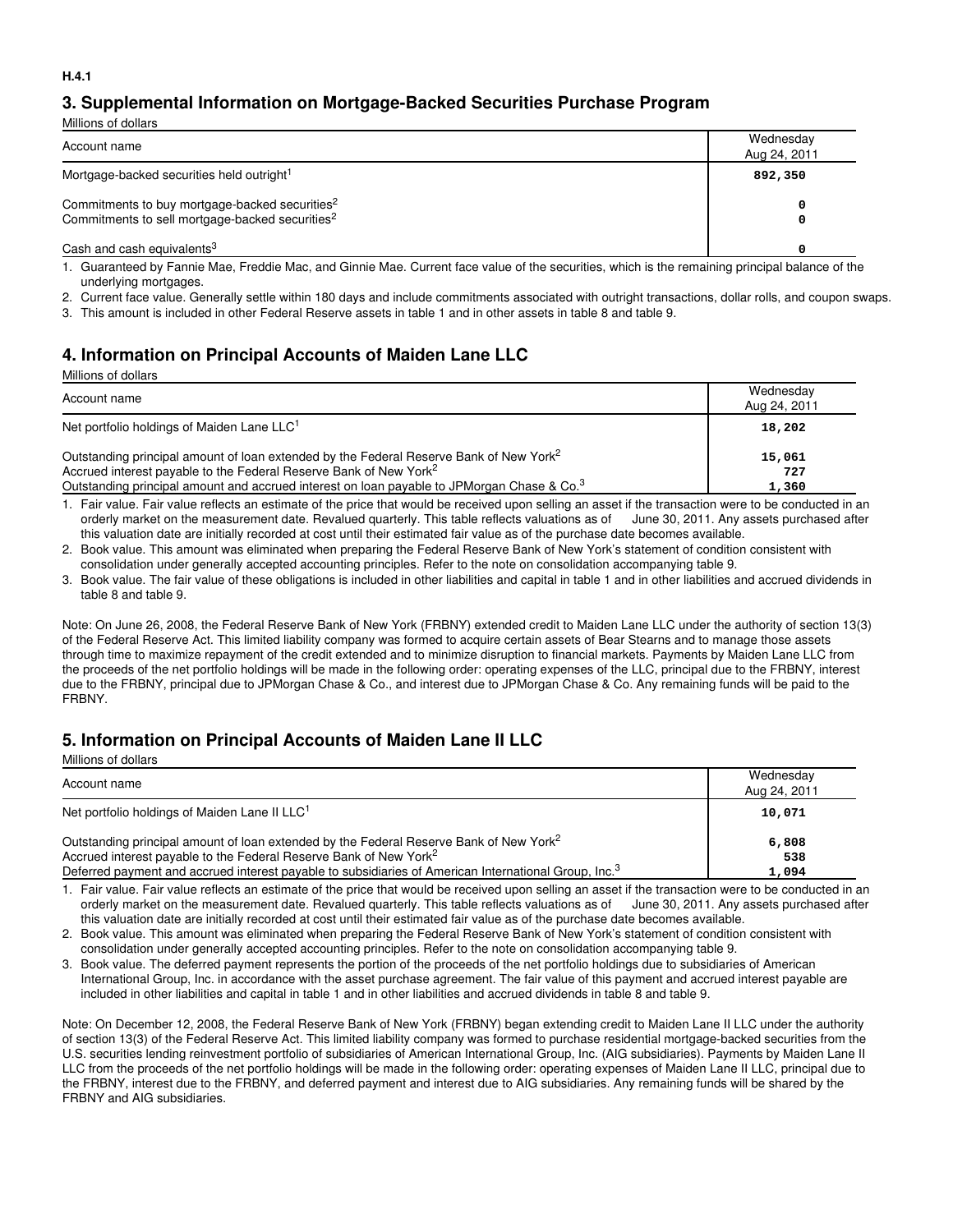## **3. Supplemental Information on Mortgage-Backed Securities Purchase Program**

| Millions of dollars                                                                                                       |                           |
|---------------------------------------------------------------------------------------------------------------------------|---------------------------|
| Account name                                                                                                              | Wednesday<br>Aug 24, 2011 |
| Mortgage-backed securities held outright <sup>1</sup>                                                                     | 892,350                   |
| Commitments to buy mortgage-backed securities <sup>2</sup><br>Commitments to sell mortgage-backed securities <sup>2</sup> | 0                         |
| Cash and cash equivalents <sup>3</sup>                                                                                    |                           |

1. Guaranteed by Fannie Mae, Freddie Mac, and Ginnie Mae. Current face value of the securities, which is the remaining principal balance of the underlying mortgages.

2. Current face value. Generally settle within 180 days and include commitments associated with outright transactions, dollar rolls, and coupon swaps.

3. This amount is included in other Federal Reserve assets in table 1 and in other assets in table 8 and table 9.

#### **4. Information on Principal Accounts of Maiden Lane LLC**

| Millions of dollars                                                                                    |              |
|--------------------------------------------------------------------------------------------------------|--------------|
|                                                                                                        | Wednesday    |
| Account name                                                                                           | Aug 24, 2011 |
| Net portfolio holdings of Maiden Lane LLC <sup>1</sup>                                                 | 18,202       |
| Outstanding principal amount of loan extended by the Federal Reserve Bank of New York <sup>2</sup>     | 15,061       |
| Accrued interest payable to the Federal Reserve Bank of New York <sup>2</sup>                          | 727          |
| Outstanding principal amount and accrued interest on loan payable to JPMorgan Chase & Co. <sup>3</sup> | 1,360        |

1. Fair value. Fair value reflects an estimate of the price that would be received upon selling an asset if the transaction were to be conducted in an orderly market on the measurement date. Revalued quarterly. This table reflects valuations as of June 30, 2011. Any assets purchased after this valuation date are initially recorded at cost until their estimated fair value as of the purchase date becomes available.

2. Book value. This amount was eliminated when preparing the Federal Reserve Bank of New York's statement of condition consistent with consolidation under generally accepted accounting principles. Refer to the note on consolidation accompanying table 9.

3. Book value. The fair value of these obligations is included in other liabilities and capital in table 1 and in other liabilities and accrued dividends in table 8 and table 9.

Note: On June 26, 2008, the Federal Reserve Bank of New York (FRBNY) extended credit to Maiden Lane LLC under the authority of section 13(3) of the Federal Reserve Act. This limited liability company was formed to acquire certain assets of Bear Stearns and to manage those assets through time to maximize repayment of the credit extended and to minimize disruption to financial markets. Payments by Maiden Lane LLC from the proceeds of the net portfolio holdings will be made in the following order: operating expenses of the LLC, principal due to the FRBNY, interest due to the FRBNY, principal due to JPMorgan Chase & Co., and interest due to JPMorgan Chase & Co. Any remaining funds will be paid to the FRBNY.

#### **5. Information on Principal Accounts of Maiden Lane II LLC**

Millions of dollars

| Account name                                                                                                     | Wednesday<br>Aug 24, 2011 |
|------------------------------------------------------------------------------------------------------------------|---------------------------|
| Net portfolio holdings of Maiden Lane II LLC <sup>1</sup>                                                        | 10,071                    |
| Outstanding principal amount of loan extended by the Federal Reserve Bank of New York <sup>2</sup>               | 6,808                     |
| Accrued interest payable to the Federal Reserve Bank of New York <sup>2</sup>                                    | 538                       |
| Deferred payment and accrued interest payable to subsidiaries of American International Group, Inc. <sup>3</sup> | 1,094                     |

1. Fair value. Fair value reflects an estimate of the price that would be received upon selling an asset if the transaction were to be conducted in an orderly market on the measurement date. Revalued quarterly. This table reflects valuations as of June 30, 2011. Any assets purchased after this valuation date are initially recorded at cost until their estimated fair value as of the purchase date becomes available.

2. Book value. This amount was eliminated when preparing the Federal Reserve Bank of New York's statement of condition consistent with consolidation under generally accepted accounting principles. Refer to the note on consolidation accompanying table 9.

3. Book value. The deferred payment represents the portion of the proceeds of the net portfolio holdings due to subsidiaries of American International Group, Inc. in accordance with the asset purchase agreement. The fair value of this payment and accrued interest payable are included in other liabilities and capital in table 1 and in other liabilities and accrued dividends in table 8 and table 9.

Note: On December 12, 2008, the Federal Reserve Bank of New York (FRBNY) began extending credit to Maiden Lane II LLC under the authority of section 13(3) of the Federal Reserve Act. This limited liability company was formed to purchase residential mortgage-backed securities from the U.S. securities lending reinvestment portfolio of subsidiaries of American International Group, Inc. (AIG subsidiaries). Payments by Maiden Lane II LLC from the proceeds of the net portfolio holdings will be made in the following order: operating expenses of Maiden Lane II LLC, principal due to the FRBNY, interest due to the FRBNY, and deferred payment and interest due to AIG subsidiaries. Any remaining funds will be shared by the FRBNY and AIG subsidiaries.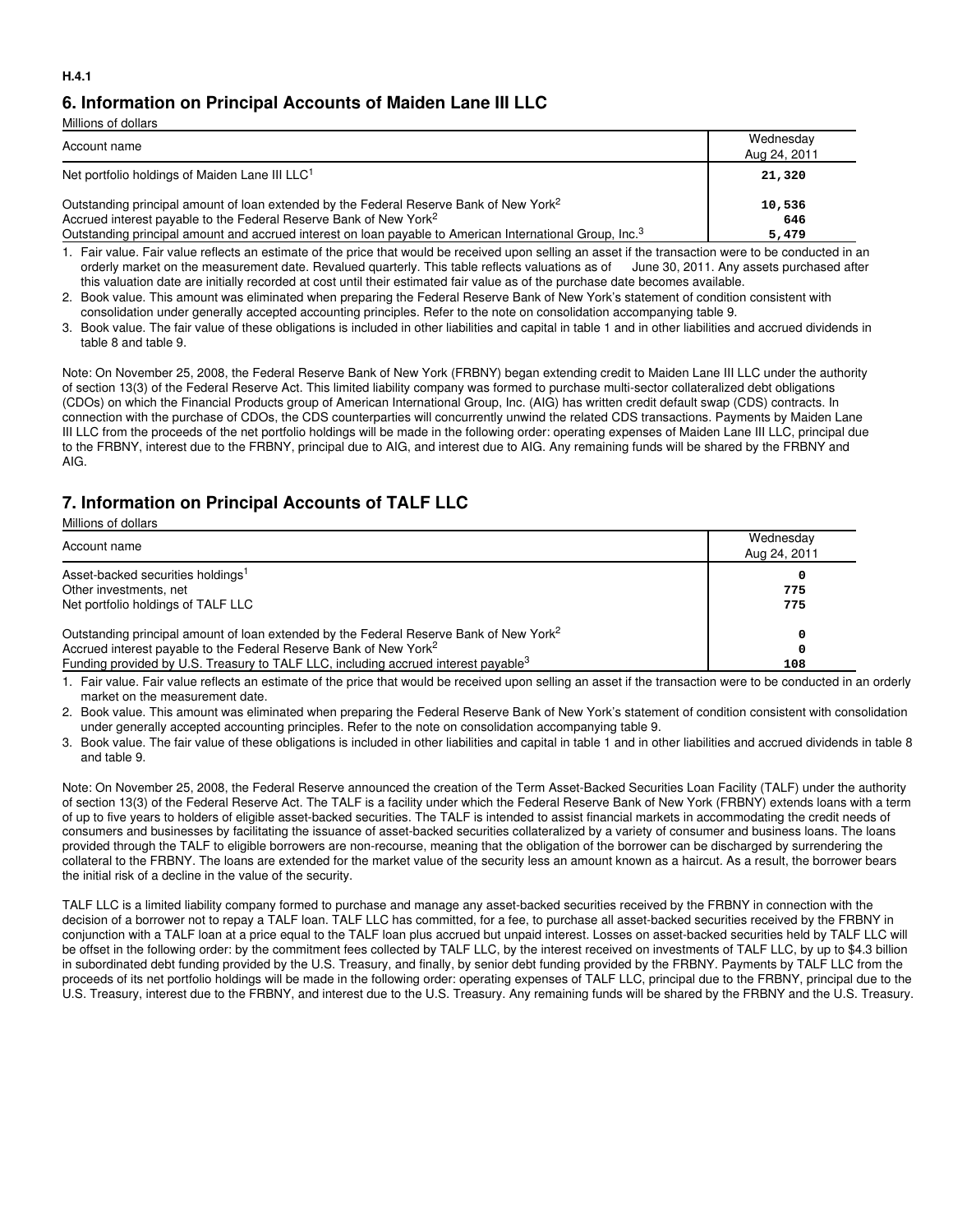#### **6. Information on Principal Accounts of Maiden Lane III LLC**

| Millions of dollars                                                                                                  |                           |
|----------------------------------------------------------------------------------------------------------------------|---------------------------|
| Account name                                                                                                         | Wednesday<br>Aug 24, 2011 |
| Net portfolio holdings of Maiden Lane III LLC <sup>1</sup>                                                           | 21,320                    |
| Outstanding principal amount of loan extended by the Federal Reserve Bank of New York <sup>2</sup>                   | 10,536                    |
| Accrued interest payable to the Federal Reserve Bank of New York <sup>2</sup>                                        | 646                       |
| Outstanding principal amount and accrued interest on loan payable to American International Group, Inc. <sup>3</sup> | 5,479                     |

1. Fair value. Fair value reflects an estimate of the price that would be received upon selling an asset if the transaction were to be conducted in an orderly market on the measurement date. Revalued quarterly. This table reflects valuations as of June 30, 2011. Any assets purchased after this valuation date are initially recorded at cost until their estimated fair value as of the purchase date becomes available.

2. Book value. This amount was eliminated when preparing the Federal Reserve Bank of New York's statement of condition consistent with consolidation under generally accepted accounting principles. Refer to the note on consolidation accompanying table 9.

3. Book value. The fair value of these obligations is included in other liabilities and capital in table 1 and in other liabilities and accrued dividends in table 8 and table 9.

Note: On November 25, 2008, the Federal Reserve Bank of New York (FRBNY) began extending credit to Maiden Lane III LLC under the authority of section 13(3) of the Federal Reserve Act. This limited liability company was formed to purchase multi-sector collateralized debt obligations (CDOs) on which the Financial Products group of American International Group, Inc. (AIG) has written credit default swap (CDS) contracts. In connection with the purchase of CDOs, the CDS counterparties will concurrently unwind the related CDS transactions. Payments by Maiden Lane III LLC from the proceeds of the net portfolio holdings will be made in the following order: operating expenses of Maiden Lane III LLC, principal due to the FRBNY, interest due to the FRBNY, principal due to AIG, and interest due to AIG. Any remaining funds will be shared by the FRBNY and AIG.

## **7. Information on Principal Accounts of TALF LLC**

| Millions of dollars |  |  |
|---------------------|--|--|
|                     |  |  |

| Account name                                                                                                                                                                    | Wednesday<br>Aug 24, 2011 |
|---------------------------------------------------------------------------------------------------------------------------------------------------------------------------------|---------------------------|
| Asset-backed securities holdings <sup>1</sup><br>Other investments, net                                                                                                         | 775                       |
| Net portfolio holdings of TALF LLC                                                                                                                                              | 775                       |
| Outstanding principal amount of loan extended by the Federal Reserve Bank of New York <sup>2</sup>                                                                              |                           |
| Accrued interest payable to the Federal Reserve Bank of New York <sup>2</sup><br>Funding provided by U.S. Treasury to TALF LLC, including accrued interest payable <sup>3</sup> | 108                       |

1. Fair value. Fair value reflects an estimate of the price that would be received upon selling an asset if the transaction were to be conducted in an orderly market on the measurement date.

2. Book value. This amount was eliminated when preparing the Federal Reserve Bank of New York's statement of condition consistent with consolidation under generally accepted accounting principles. Refer to the note on consolidation accompanying table 9.

3. Book value. The fair value of these obligations is included in other liabilities and capital in table 1 and in other liabilities and accrued dividends in table 8 and table 9.

Note: On November 25, 2008, the Federal Reserve announced the creation of the Term Asset-Backed Securities Loan Facility (TALF) under the authority of section 13(3) of the Federal Reserve Act. The TALF is a facility under which the Federal Reserve Bank of New York (FRBNY) extends loans with a term of up to five years to holders of eligible asset-backed securities. The TALF is intended to assist financial markets in accommodating the credit needs of consumers and businesses by facilitating the issuance of asset-backed securities collateralized by a variety of consumer and business loans. The loans provided through the TALF to eligible borrowers are non-recourse, meaning that the obligation of the borrower can be discharged by surrendering the collateral to the FRBNY. The loans are extended for the market value of the security less an amount known as a haircut. As a result, the borrower bears the initial risk of a decline in the value of the security.

TALF LLC is a limited liability company formed to purchase and manage any asset-backed securities received by the FRBNY in connection with the decision of a borrower not to repay a TALF loan. TALF LLC has committed, for a fee, to purchase all asset-backed securities received by the FRBNY in conjunction with a TALF loan at a price equal to the TALF loan plus accrued but unpaid interest. Losses on asset-backed securities held by TALF LLC will be offset in the following order: by the commitment fees collected by TALF LLC, by the interest received on investments of TALF LLC, by up to \$4.3 billion in subordinated debt funding provided by the U.S. Treasury, and finally, by senior debt funding provided by the FRBNY. Payments by TALF LLC from the proceeds of its net portfolio holdings will be made in the following order: operating expenses of TALF LLC, principal due to the FRBNY, principal due to the U.S. Treasury, interest due to the FRBNY, and interest due to the U.S. Treasury. Any remaining funds will be shared by the FRBNY and the U.S. Treasury.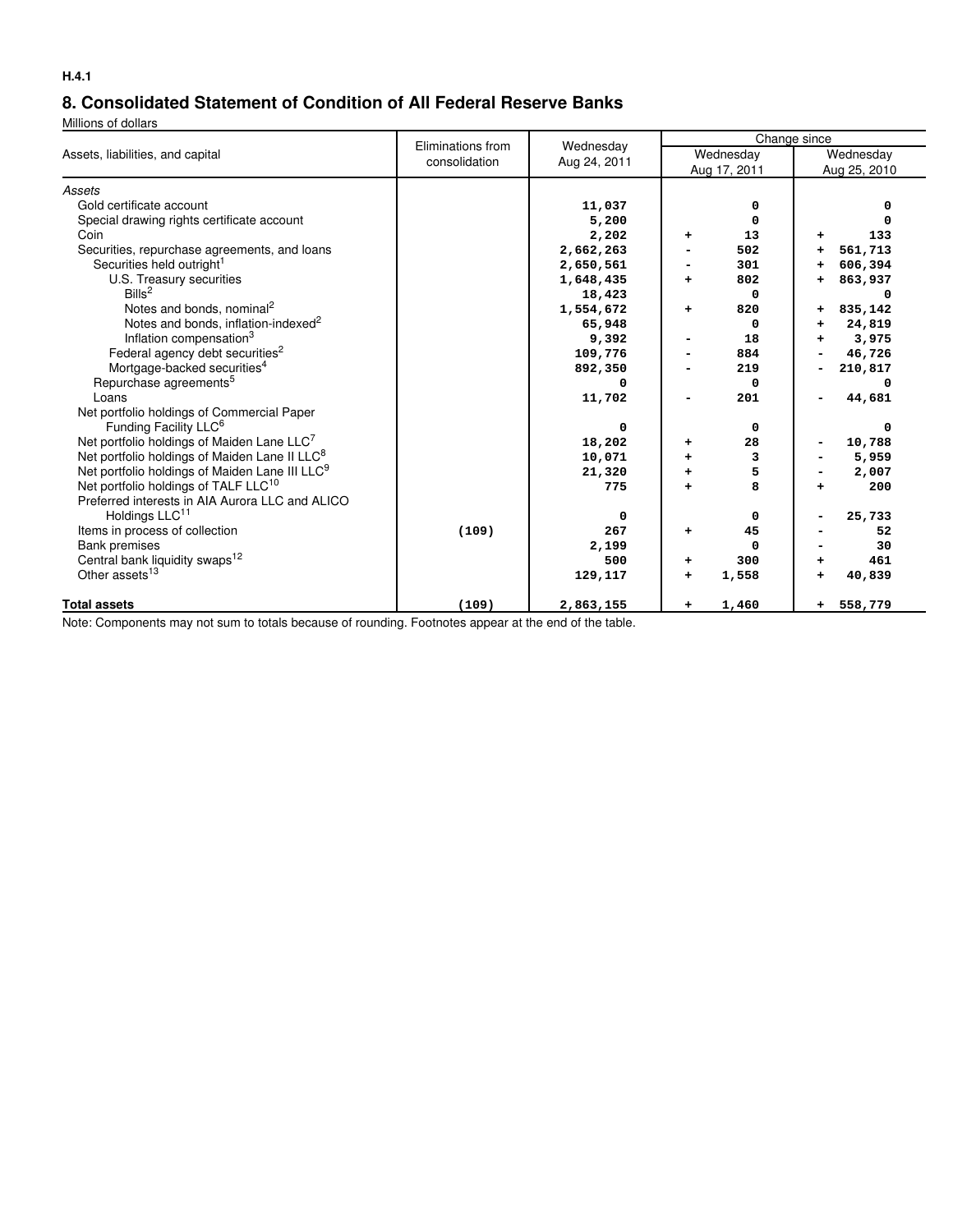## **8. Consolidated Statement of Condition of All Federal Reserve Banks**

Millions of dollars

|                                                            | Eliminations from | Wednesday<br>Aug 24, 2011 |   | Change since |   |              |  |
|------------------------------------------------------------|-------------------|---------------------------|---|--------------|---|--------------|--|
| Assets, liabilities, and capital                           | consolidation     |                           |   | Wednesday    |   | Wednesday    |  |
|                                                            |                   |                           |   | Aug 17, 2011 |   | Aug 25, 2010 |  |
| Assets                                                     |                   |                           |   |              |   |              |  |
| Gold certificate account                                   |                   | 11,037                    |   | 0            |   | n            |  |
| Special drawing rights certificate account                 |                   | 5,200                     |   | 0            |   |              |  |
| Coin                                                       |                   | 2,202                     | + | 13           | ۰ | 133          |  |
| Securities, repurchase agreements, and loans               |                   | 2,662,263                 |   | 502          |   | 561,713      |  |
| Securities held outright <sup>1</sup>                      |                   | 2,650,561                 |   | 301          |   | 606,394      |  |
| U.S. Treasury securities                                   |                   | 1,648,435                 |   | 802          |   | 863,937      |  |
| Bills <sup>2</sup>                                         |                   | 18,423                    |   | 0            |   |              |  |
| Notes and bonds, nominal <sup>2</sup>                      |                   | 1,554,672                 | ÷ | 820          | ÷ | 835,142      |  |
| Notes and bonds, inflation-indexed <sup>2</sup>            |                   | 65,948                    |   | 0            | ÷ | 24,819       |  |
| Inflation compensation <sup>3</sup>                        |                   | 9,392                     |   | 18           |   | 3,975        |  |
| Federal agency debt securities <sup>2</sup>                |                   | 109,776                   |   | 884          |   | 46,726       |  |
| Mortgage-backed securities <sup>4</sup>                    |                   | 892,350                   |   | 219          |   | 210,817      |  |
| Repurchase agreements <sup>5</sup>                         |                   |                           |   | 0            |   |              |  |
| Loans                                                      |                   | 11,702                    |   | 201          |   | 44,681       |  |
| Net portfolio holdings of Commercial Paper                 |                   |                           |   |              |   |              |  |
| Funding Facility LLC <sup>6</sup>                          |                   | 0                         |   | 0            |   | 0            |  |
| Net portfolio holdings of Maiden Lane LLC <sup>7</sup>     |                   | 18,202                    | ٠ | 28           |   | 10,788       |  |
| Net portfolio holdings of Maiden Lane II LLC <sup>8</sup>  |                   | 10,071                    |   | 3            |   | 5,959        |  |
| Net portfolio holdings of Maiden Lane III LLC <sup>9</sup> |                   | 21,320                    |   | 5            |   | 2,007        |  |
| Net portfolio holdings of TALF LLC <sup>10</sup>           |                   | 775                       |   | 8            |   | 200          |  |
| Preferred interests in AIA Aurora LLC and ALICO            |                   |                           |   |              |   |              |  |
| Holdings LLC <sup>11</sup>                                 |                   | 0                         |   | 0            |   | 25,733       |  |
| Items in process of collection                             | (109)             | 267                       | ٠ | 45           |   | 52           |  |
| <b>Bank premises</b>                                       |                   | 2,199                     |   | 0            |   | 30           |  |
| Central bank liquidity swaps <sup>12</sup>                 |                   | 500                       | ٠ | 300          |   | 461          |  |
| Other assets <sup>13</sup>                                 |                   | 129,117                   | + | 1,558        |   | 40,839       |  |
| <b>Total assets</b>                                        | (109)             | 2,863,155                 | ÷ | 1,460        | ÷ | 558,779      |  |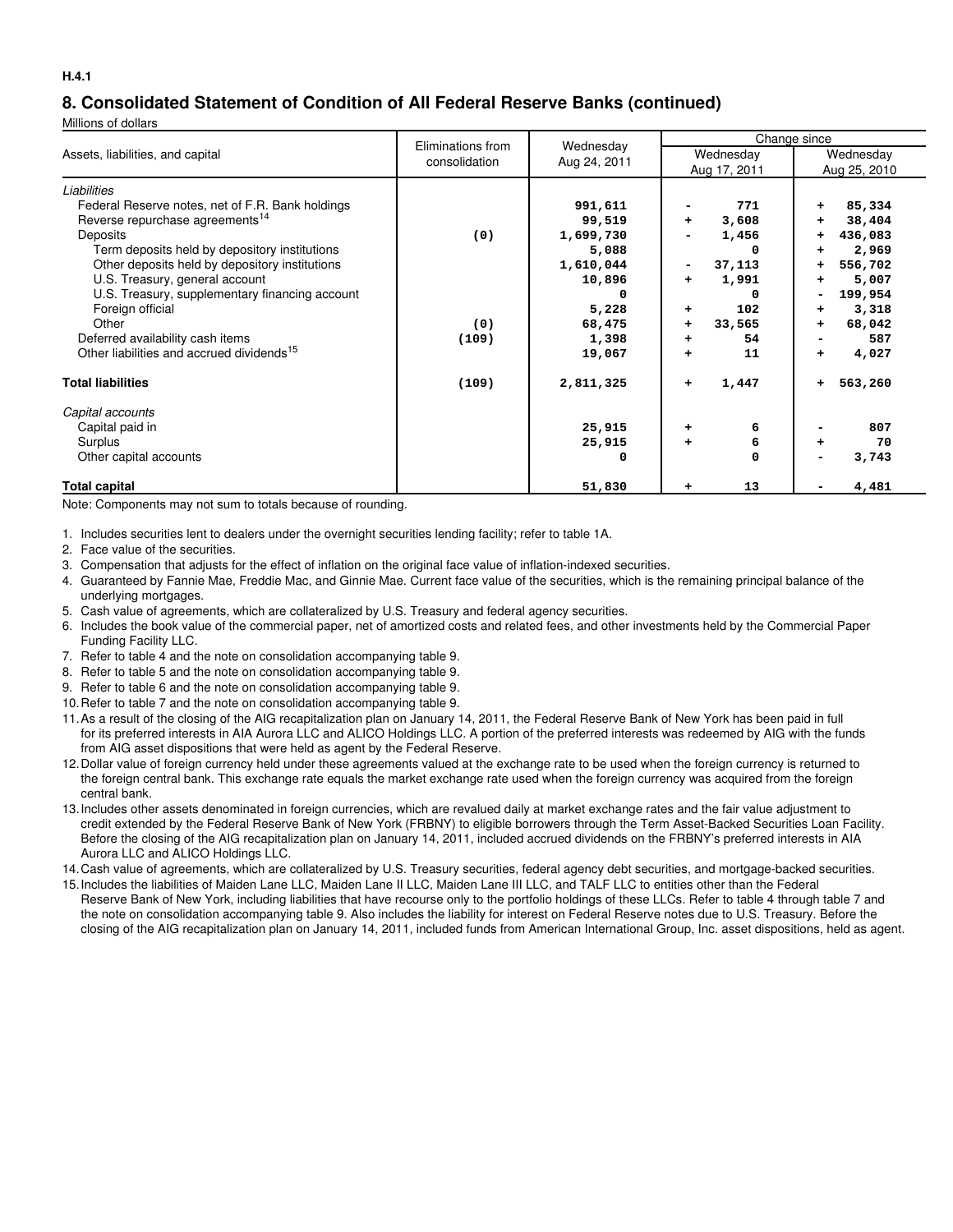#### **8. Consolidated Statement of Condition of All Federal Reserve Banks (continued)**

Millions of dollars

| Assets, liabilities, and capital                      | Eliminations from | Wednesday    | Change since       |              |  |  |
|-------------------------------------------------------|-------------------|--------------|--------------------|--------------|--|--|
|                                                       | consolidation     |              | Wednesday          | Wednesday    |  |  |
|                                                       |                   | Aug 24, 2011 | Aug 17, 2011       | Aug 25, 2010 |  |  |
| Liabilities                                           |                   |              |                    |              |  |  |
| Federal Reserve notes, net of F.R. Bank holdings      |                   | 991,611      | 771                | 85,334<br>+  |  |  |
| Reverse repurchase agreements <sup>14</sup>           |                   | 99,519       | 3,608<br>$\ddot{}$ | 38,404<br>٠  |  |  |
| Deposits                                              | (0)               | 1,699,730    | 1,456              | 436,083<br>٠ |  |  |
| Term deposits held by depository institutions         |                   | 5,088        | O                  | 2,969<br>÷   |  |  |
| Other deposits held by depository institutions        |                   | 1,610,044    | 37,113<br>۰.       | 556,702<br>÷ |  |  |
| U.S. Treasury, general account                        |                   | 10,896       | 1,991<br>$\ddot{}$ | 5,007<br>٠   |  |  |
| U.S. Treasury, supplementary financing account        |                   | 0            | 0                  | 199,954      |  |  |
| Foreign official                                      |                   | 5,228        | 102<br>+           | 3,318<br>+   |  |  |
| Other                                                 | (0)               | 68,475       | 33,565<br>+        | 68,042<br>٠  |  |  |
| Deferred availability cash items                      | (109)             | 1,398        | 54<br>$\ddot{}$    | 587          |  |  |
| Other liabilities and accrued dividends <sup>15</sup> |                   | 19,067       | 11<br>÷            | 4,027<br>٠   |  |  |
| <b>Total liabilities</b>                              | (109)             | 2,811,325    | 1,447<br>$\ddot{}$ | 563,260<br>÷ |  |  |
| Capital accounts                                      |                   |              |                    |              |  |  |
| Capital paid in                                       |                   | 25,915       | 6<br>٠             | 807          |  |  |
| Surplus                                               |                   | 25,915       | 6<br>÷             | 70<br>÷      |  |  |
| Other capital accounts                                |                   | 0            | 0                  | 3,743        |  |  |
| Total capital                                         |                   | 51,830       | 13<br>٠            | 4,481        |  |  |

Note: Components may not sum to totals because of rounding.

- 1. Includes securities lent to dealers under the overnight securities lending facility; refer to table 1A.
- 2. Face value of the securities.
- 3. Compensation that adjusts for the effect of inflation on the original face value of inflation-indexed securities.
- 4. Guaranteed by Fannie Mae, Freddie Mac, and Ginnie Mae. Current face value of the securities, which is the remaining principal balance of the underlying mortgages.
- 5. Cash value of agreements, which are collateralized by U.S. Treasury and federal agency securities.
- 6. Includes the book value of the commercial paper, net of amortized costs and related fees, and other investments held by the Commercial Paper Funding Facility LLC.
- 7. Refer to table 4 and the note on consolidation accompanying table 9.
- 8. Refer to table 5 and the note on consolidation accompanying table 9.
- 9. Refer to table 6 and the note on consolidation accompanying table 9.
- 10.Refer to table 7 and the note on consolidation accompanying table 9.
- 11.As a result of the closing of the AIG recapitalization plan on January 14, 2011, the Federal Reserve Bank of New York has been paid in full for its preferred interests in AIA Aurora LLC and ALICO Holdings LLC. A portion of the preferred interests was redeemed by AIG with the funds from AIG asset dispositions that were held as agent by the Federal Reserve.
- 12.Dollar value of foreign currency held under these agreements valued at the exchange rate to be used when the foreign currency is returned to the foreign central bank. This exchange rate equals the market exchange rate used when the foreign currency was acquired from the foreign central bank.
- 13.Includes other assets denominated in foreign currencies, which are revalued daily at market exchange rates and the fair value adjustment to credit extended by the Federal Reserve Bank of New York (FRBNY) to eligible borrowers through the Term Asset-Backed Securities Loan Facility. Before the closing of the AIG recapitalization plan on January 14, 2011, included accrued dividends on the FRBNY's preferred interests in AIA Aurora LLC and ALICO Holdings LLC.
- 14.Cash value of agreements, which are collateralized by U.S. Treasury securities, federal agency debt securities, and mortgage-backed securities.
- 15.Includes the liabilities of Maiden Lane LLC, Maiden Lane II LLC, Maiden Lane III LLC, and TALF LLC to entities other than the Federal Reserve Bank of New York, including liabilities that have recourse only to the portfolio holdings of these LLCs. Refer to table 4 through table 7 and the note on consolidation accompanying table 9. Also includes the liability for interest on Federal Reserve notes due to U.S. Treasury. Before the closing of the AIG recapitalization plan on January 14, 2011, included funds from American International Group, Inc. asset dispositions, held as agent.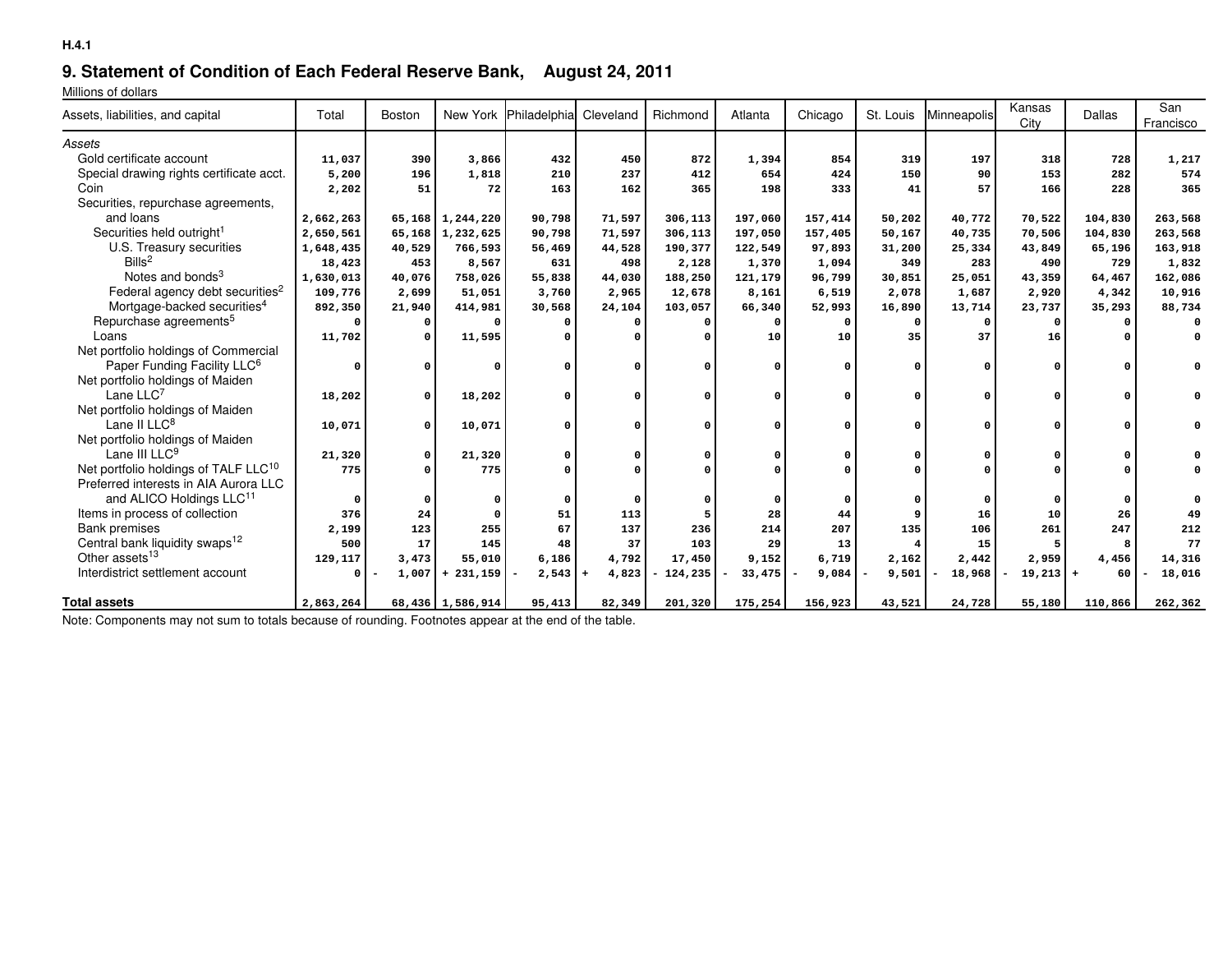## **9. Statement of Condition of Each Federal Reserve Bank, August 24, 2011**

Millions of dollars

| Assets, liabilities, and capital                 | Total     | Boston       |                     | New York Philadelphia Cleveland |              | Richmond                  | Atlanta  | Chicago  | St. Louis  | Minneapolis  | Kansas<br>City | Dallas   | San<br>Francisco |
|--------------------------------------------------|-----------|--------------|---------------------|---------------------------------|--------------|---------------------------|----------|----------|------------|--------------|----------------|----------|------------------|
| Assets                                           |           |              |                     |                                 |              |                           |          |          |            |              |                |          |                  |
| Gold certificate account                         | 11,037    | 390          | 3,866               | 432                             | 450          | 872                       | 1,394    | 854      | 319        | 197          | 318            | 728      | 1,217            |
| Special drawing rights certificate acct.         | 5,200     | 196          | 1,818               | 210                             | 237          | 412                       | 654      | 424      | 150        | 90           | 153            | 282      | 574              |
| Coin                                             | 2,202     | 51           | 72                  | 163                             | 162          | 365                       | 198      | 333      | 41         | 57           | 166            | 228      | 365              |
| Securities, repurchase agreements,               |           |              |                     |                                 |              |                           |          |          |            |              |                |          |                  |
| and loans                                        | 2,662,263 |              | 65, 168 1, 244, 220 | 90,798                          | 71,597       | 306,113                   | 197,060  | 157,414  | 50,202     | 40,772       | 70,522         | 104,830  | 263,568          |
| Securities held outright <sup>1</sup>            | 2,650,561 | 65,168       | 1,232,625           | 90,798                          | 71,597       | 306,113                   | 197,050  | 157,405  | 50,167     | 40,735       | 70,506         | 104,830  | 263,568          |
| U.S. Treasury securities                         | 1,648,435 | 40,529       | 766,593             | 56,469                          | 44,528       | 190,377                   | 122,549  | 97,893   | 31,200     | 25,334       | 43,849         | 65,196   | 163,918          |
| Bills <sup>2</sup>                               | 18,423    | 453          | 8,567               | 631                             | 498          | 2,128                     | 1,370    | 1,094    | 349        | 283          | 490            | 729      | 1,832            |
| Notes and bonds <sup>3</sup>                     | 1,630,013 | 40,076       | 758,026             | 55,838                          | 44,030       | 188,250                   | 121,179  | 96,799   | 30,851     | 25,051       | 43,359         | 64,467   | 162,086          |
| Federal agency debt securities <sup>2</sup>      | 109,776   | 2,699        | 51,051              | 3,760                           | 2,965        | 12,678                    | 8,161    | 6,519    | 2,078      | 1,687        | 2,920          | 4,342    | 10,916           |
| Mortgage-backed securities <sup>4</sup>          | 892,350   | 21,940       | 414,981             | 30,568                          | 24,104       | 103,057                   | 66,340   | 52,993   | 16,890     | 13,714       | 23,737         | 35,293   | 88,734           |
| Repurchase agreements <sup>5</sup>               | $\Omega$  | $\Omega$     |                     |                                 | $\Omega$     | $\Omega$                  | $\Omega$ | $\Omega$ | $^{\circ}$ | $\Omega$     | $\Omega$       |          |                  |
| Loans                                            | 11,702    |              | 11,595              |                                 | $\Omega$     | $\Omega$                  | 10       | 10       | 35         | 37           | 16             |          | 0                |
| Net portfolio holdings of Commercial             |           |              |                     |                                 |              |                           |          |          |            |              |                |          |                  |
| Paper Funding Facility LLC <sup>6</sup>          |           | O            |                     |                                 | $\Omega$     | $\Omega$                  |          |          |            | U            |                |          |                  |
| Net portfolio holdings of Maiden                 |           |              |                     |                                 |              |                           |          |          |            |              |                |          |                  |
| Lane $LLC7$                                      | 18,202    | $\Omega$     | 18,202              |                                 | $\Omega$     | $\Omega$                  | $\Omega$ |          | U          | U            |                | O        |                  |
| Net portfolio holdings of Maiden                 |           |              |                     |                                 |              |                           |          |          |            |              |                |          |                  |
| Lane II LLC <sup>8</sup>                         | 10,071    | <sup>0</sup> | 10,071              |                                 | $\Omega$     | $\Omega$                  |          |          | U          | <sup>o</sup> |                | $\Omega$ | 0                |
| Net portfolio holdings of Maiden                 |           |              |                     |                                 |              |                           |          |          |            |              |                |          |                  |
| Lane III LLC <sup>9</sup>                        | 21,320    | 0            | 21,320              |                                 | $\Omega$     | $\Omega$                  |          |          |            |              |                |          |                  |
| Net portfolio holdings of TALF LLC <sup>10</sup> | 775       |              | 775                 |                                 |              | $\Omega$                  |          |          |            |              |                |          |                  |
| Preferred interests in AIA Aurora LLC            |           |              |                     |                                 |              |                           |          |          |            |              |                |          |                  |
| and ALICO Holdings LLC <sup>11</sup>             | $\Omega$  |              |                     | 0                               | 0            |                           |          |          |            |              |                |          |                  |
| Items in process of collection                   | 376       | 24           |                     | 51                              | 113          |                           | 28       | 44       |            | 16           | 10             | 26       | 49               |
| <b>Bank premises</b>                             | 2,199     | 123          | 255                 | 67                              | 137          | 236                       | 214      | 207      | 135        | 106          | 261            | 247      | 212              |
| Central bank liquidity swaps <sup>12</sup>       | 500       | 17           | 145                 | 48                              | 37           | 103                       | 29       | 13       | 4          | 15           |                | 8        | 77               |
| Other assets <sup>13</sup>                       | 129,117   | 3,473        | 55,010              | 6,186                           | 4,792        | 17,450                    | 9,152    | 6,719    | 2,162      | 2,442        | 2,959          | 4,456    | 14,316           |
| Interdistrict settlement account                 | 0         | 1,007        | $+231,159$          | 2,543                           | 4,823<br>$+$ | 124,235<br>$\blacksquare$ | 33,475   | 9,084    | 9,501      | 18,968       | $19,213$ +     | 60       | 18,016           |
|                                                  |           |              |                     |                                 |              |                           |          |          |            |              |                |          |                  |
| <b>Total assets</b>                              | 2,863,264 |              | 68,436 1,586,914    | 95,413                          | 82,349       | 201,320                   | 175,254  | 156,923  | 43,521     | 24,728       | 55,180         | 110,866  | 262,362          |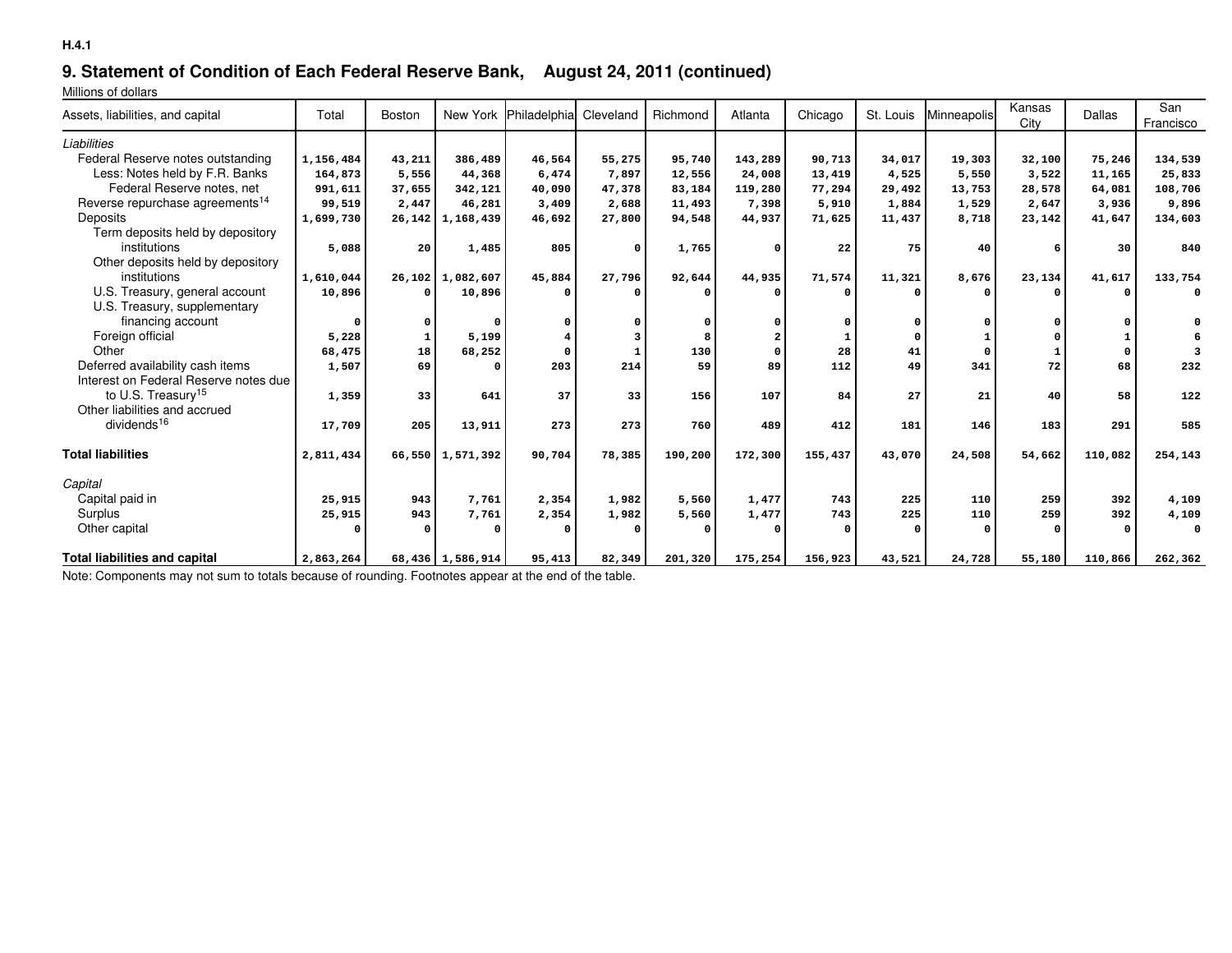## **9. Statement of Condition of Each Federal Reserve Bank, August 24, 2011 (continued)**

Millions of dollars

| Assets, liabilities, and capital            | Total        | Boston |                     | New York Philadelphia | Cleveland | Richmond | Atlanta  | Chicago | St. Louis | Minneapolis  | Kansas<br>City | Dallas   | San<br>Francisco |
|---------------------------------------------|--------------|--------|---------------------|-----------------------|-----------|----------|----------|---------|-----------|--------------|----------------|----------|------------------|
| Liabilities                                 |              |        |                     |                       |           |          |          |         |           |              |                |          |                  |
| Federal Reserve notes outstanding           | 1,156,484    | 43,211 | 386,489             | 46,564                | 55,275    | 95,740   | 143,289  | 90,713  | 34,017    | 19,303       | 32,100         | 75,246   | 134,539          |
| Less: Notes held by F.R. Banks              | 164,873      | 5,556  | 44,368              | 6,474                 | 7,897     | 12,556   | 24,008   | 13,419  | 4,525     | 5,550        | 3,522          | 11,165   | 25,833           |
| Federal Reserve notes, net                  | 991,611      | 37,655 | 342,121             | 40,090                | 47,378    | 83,184   | 119,280  | 77,294  | 29,492    | 13,753       | 28,578         | 64,081   | 108,706          |
| Reverse repurchase agreements <sup>14</sup> | 99,519       | 2,447  | 46,281              | 3,409                 | 2,688     | 11,493   | 7,398    | 5,910   | 1,884     | 1,529        | 2,647          | 3,936    | 9,896            |
| Deposits                                    | 1,699,730    |        | 26, 142 1, 168, 439 | 46,692                | 27,800    | 94,548   | 44,937   | 71,625  | 11,437    | 8,718        | 23,142         | 41,647   | 134,603          |
| Term deposits held by depository            |              |        |                     |                       |           |          |          |         |           |              |                |          |                  |
| institutions                                | 5,088        | 20     | 1,485               | 805                   | $\Omega$  | 1,765    | $\Omega$ | 22      | 75        | 40           |                | 30       | 840              |
| Other deposits held by depository           |              |        |                     |                       |           |          |          |         |           |              |                |          |                  |
| institutions                                | 1,610,044    |        | 26,102 1,082,607    | 45,884                | 27,796    | 92,644   | 44,935   | 71,574  | 11,321    | 8,676        | 23,134         | 41,617   | 133,754          |
| U.S. Treasury, general account              | 10,896       |        | 10,896              | 0                     |           |          |          |         |           | $\Omega$     |                |          | $\Omega$         |
| U.S. Treasury, supplementary                |              |        |                     |                       |           |          |          |         |           |              |                |          |                  |
| financing account                           | <sup>n</sup> |        |                     | 0                     |           |          |          |         |           | <sup>0</sup> |                |          |                  |
| Foreign official                            | 5,228        |        | 5,199               | $\overline{\bf 4}$    | 3         |          |          |         |           |              |                |          |                  |
| Other                                       | 68,475       | 18     | 68,252              | $\Omega$              |           | 130      | $\Omega$ | 28      | 41        | 0            |                | $\Omega$ |                  |
| Deferred availability cash items            | 1,507        | 69     |                     | 203                   | 214       | 59       | 89       | 112     | 49        | 341          | 72             | 68       | 232              |
| Interest on Federal Reserve notes due       |              |        |                     |                       |           |          |          |         |           |              |                |          |                  |
| to U.S. Treasury <sup>15</sup>              | 1,359        | 33     | 641                 | 37                    | 33        | 156      | 107      | 84      | 27        | 21           | 40             | 58       | 122              |
| Other liabilities and accrued               |              |        |                     |                       |           |          |          |         |           |              |                |          |                  |
| dividends <sup>16</sup>                     | 17,709       | 205    | 13,911              | 273                   | 273       | 760      | 489      | 412     | 181       | 146          | 183            | 291      | 585              |
| <b>Total liabilities</b>                    | 2,811,434    |        | 66,550 1,571,392    | 90,704                | 78,385    | 190,200  | 172,300  | 155,437 | 43,070    | 24,508       | 54,662         | 110,082  | 254,143          |
| Capital                                     |              |        |                     |                       |           |          |          |         |           |              |                |          |                  |
| Capital paid in                             | 25,915       | 943    | 7,761               | 2,354                 | 1,982     | 5,560    | 1,477    | 743     | 225       | 110          | 259            | 392      | 4,109            |
| Surplus                                     | 25,915       | 943    | 7,761               | 2,354                 | 1,982     | 5,560    | 1,477    | 743     | 225       | 110          | 259            | 392      | 4,109            |
| Other capital                               |              |        |                     | $\Omega$              |           |          |          |         |           | $\Omega$     |                |          | $\Omega$         |
| <b>Total liabilities and capital</b>        | 2,863,264    |        | 68,436 1,586,914    | 95,413                | 82,349    | 201,320  | 175,254  | 156,923 | 43,521    | 24,728       | 55,180         | 110,866  | 262,362          |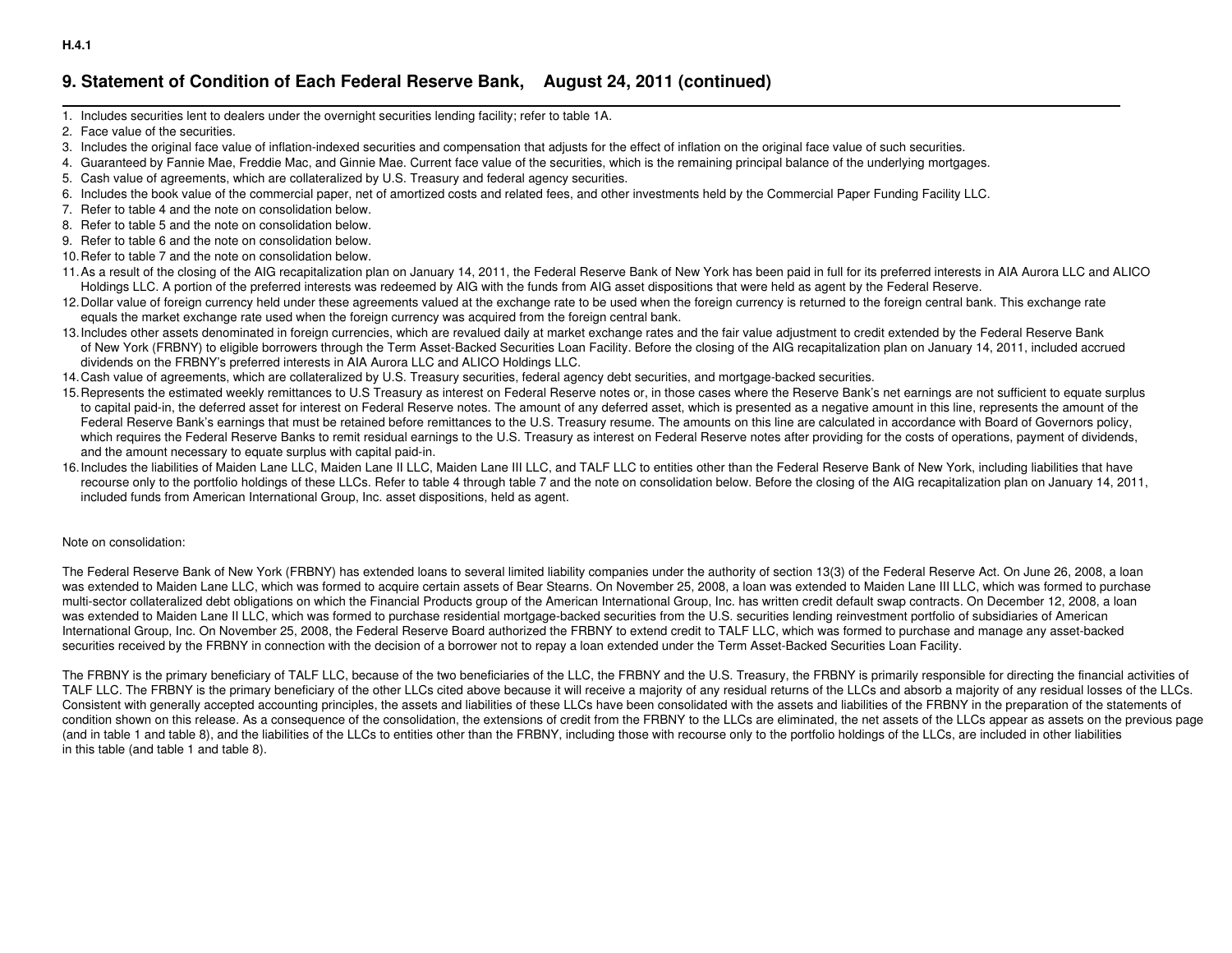## **9. Statement of Condition of Each Federal Reserve Bank, August 24, 2011 (continued)**

- 1. Includes securities lent to dealers under the overnight securities lending facility; refer to table 1A.
- 2. Face value of the securities.
- 3. Includes the original face value of inflation-indexed securities and compensation that adjusts for the effect of inflation on the original face value of such securities.
- 4. Guaranteed by Fannie Mae, Freddie Mac, and Ginnie Mae. Current face value of the securities, which is the remaining principal balance of the underlying mortgages.
- 5. Cash value of agreements, which are collateralized by U.S. Treasury and federal agency securities.
- 6. Includes the book value of the commercial paper, net of amortized costs and related fees, and other investments held by the Commercial Paper Funding Facility LLC.
- 7. Refer to table 4 and the note on consolidation below.
- 8. Refer to table 5 and the note on consolidation below.
- 9. Refer to table 6 and the note on consolidation below.
- 10.Refer to table 7 and the note on consolidation below.
- 11.As a result of the closing of the AIG recapitalization plan on January 14, 2011, the Federal Reserve Bank of New York has been paid in full for its preferred interests in AIA Aurora LLC and ALICOHoldings LLC. A portion of the preferred interests was redeemed by AIG with the funds from AIG asset dispositions that were held as agent by the Federal Reserve.
- 12. Dollar value of foreign currency held under these agreements valued at the exchange rate to be used when the foreign currency is returned to the foreign central bank. This exchange rate equals the market exchange rate used when the foreign currency was acquired from the foreign central bank.
- 13. Includes other assets denominated in foreign currencies, which are revalued daily at market exchange rates and the fair value adjustment to credit extended by the Federal Reserve Bank of New York (FRBNY) to eligible borrowers through the Term Asset-Backed Securities Loan Facility. Before the closing of the AIG recapitalization plan on January 14, 2011, included accrued dividends on the FRBNY's preferred interests in AIA Aurora LLC and ALICO Holdings LLC.
- 14.Cash value of agreements, which are collateralized by U.S. Treasury securities, federal agency debt securities, and mortgage-backed securities.
- 15. Represents the estimated weekly remittances to U.S Treasury as interest on Federal Reserve notes or, in those cases where the Reserve Bank's net earnings are not sufficient to equate surplus to capital paid-in, the deferred asset for interest on Federal Reserve notes. The amount of any deferred asset, which is presented as a negative amount in this line, represents the amount of the Federal Reserve Bank's earnings that must be retained before remittances to the U.S. Treasury resume. The amounts on this line are calculated in accordance with Board of Governors policy,which requires the Federal Reserve Banks to remit residual earnings to the U.S. Treasury as interest on Federal Reserve notes after providing for the costs of operations, payment of dividends, and the amount necessary to equate surplus with capital paid-in.
- 16. Includes the liabilities of Maiden Lane LLC, Maiden Lane II LLC, and TALT LLC to entities other than the Federal Reserve Bank of New York, including liabilities that have recourse only to the portfolio holdings of these LLCs. Refer to table 4 through table 7 and the note on consolidation below. Before the closing of the AIG recapitalization plan on January 14, 2011, included funds from American International Group, Inc. asset dispositions, held as agent.

#### Note on consolidation:

The Federal Reserve Bank of New York (FRBNY) has extended loans to several limited liability companies under the authority of section 13(3) of the Federal Reserve Act. On June 26, 2008, a loan was extended to Maiden Lane LLC, which was formed to acquire certain assets of Bear Stearns. On November 25, 2008, a loan was extended to Maiden Lane III LLC, which was formed to purchasemulti-sector collateralized debt obligations on which the Financial Products group of the American International Group, Inc. has written credit default swap contracts. On December 12, 2008, a loanwas extended to Maiden Lane II LLC, which was formed to purchase residential mortgage-backed securities from the U.S. securities lending reinvestment portfolio of subsidiaries of American International Group, Inc. On November 25, 2008, the Federal Reserve Board authorized the FRBNY to extend credit to TALF LLC, which was formed to purchase and manage any asset-backedsecurities received by the FRBNY in connection with the decision of a borrower not to repay a loan extended under the Term Asset-Backed Securities Loan Facility.

The FRBNY is the primary beneficiary of TALF LLC, because of the two beneficiaries of the LLC, the FRBNY and the U.S. Treasury, the FRBNY is primarily responsible for directing the financial activities ofTALF LLC. The FRBNY is the primary beneficiary of the other LLCs cited above because it will receive a majority of any residual returns of the LLCs and absorb a majority of any residual losses of the LLCs. Consistent with generally accepted accounting principles, the assets and liabilities of these LLCs have been consolidated with the assets and liabilities of the FRBNY in the preparation of the statements of condition shown on this release. As a consequence of the consolidation, the extensions of credit from the FRBNY to the LLCs are eliminated, the net assets of the LLCs appear as assets on the previous page (and in table 1 and table 8), and the liabilities of the LLCs to entities other than the FRBNY, including those with recourse only to the portfolio holdings of the LLCs, are included in other liabilities in this table (and table 1 and table 8).